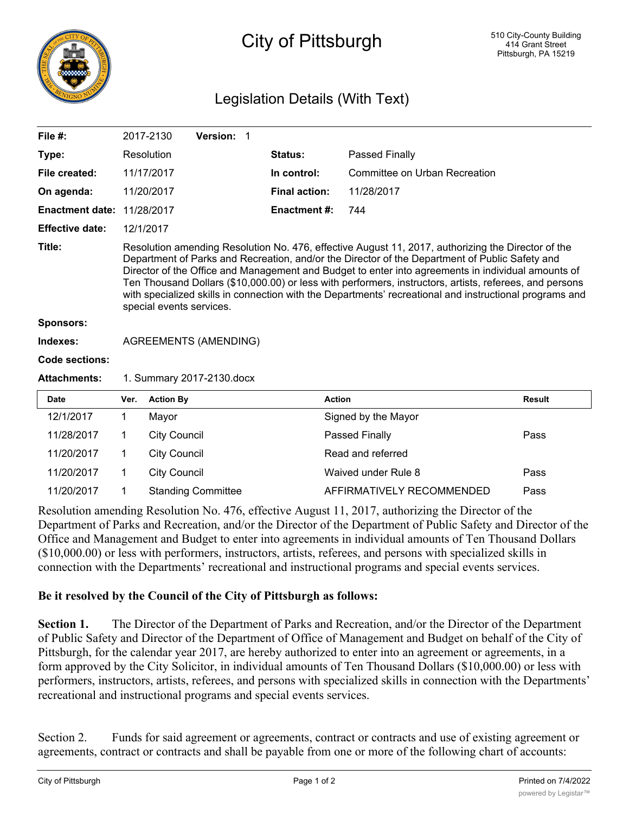

## City of Pittsburgh

## Legislation Details (With Text)

| File $#$ :             |                                                                                                                                                                                                                                                                                                                                                                                                                                                                                                                                                              | 2017-2130           | Version: 1                |                      |                               |               |
|------------------------|--------------------------------------------------------------------------------------------------------------------------------------------------------------------------------------------------------------------------------------------------------------------------------------------------------------------------------------------------------------------------------------------------------------------------------------------------------------------------------------------------------------------------------------------------------------|---------------------|---------------------------|----------------------|-------------------------------|---------------|
| Type:                  |                                                                                                                                                                                                                                                                                                                                                                                                                                                                                                                                                              | Resolution          |                           | <b>Status:</b>       | Passed Finally                |               |
| File created:          |                                                                                                                                                                                                                                                                                                                                                                                                                                                                                                                                                              | 11/17/2017          |                           | In control:          | Committee on Urban Recreation |               |
| On agenda:             |                                                                                                                                                                                                                                                                                                                                                                                                                                                                                                                                                              | 11/20/2017          |                           | <b>Final action:</b> | 11/28/2017                    |               |
| <b>Enactment date:</b> |                                                                                                                                                                                                                                                                                                                                                                                                                                                                                                                                                              | 11/28/2017          |                           | <b>Enactment #:</b>  | 744                           |               |
| <b>Effective date:</b> |                                                                                                                                                                                                                                                                                                                                                                                                                                                                                                                                                              | 12/1/2017           |                           |                      |                               |               |
| Title:                 | Resolution amending Resolution No. 476, effective August 11, 2017, authorizing the Director of the<br>Department of Parks and Recreation, and/or the Director of the Department of Public Safety and<br>Director of the Office and Management and Budget to enter into agreements in individual amounts of<br>Ten Thousand Dollars (\$10,000.00) or less with performers, instructors, artists, referees, and persons<br>with specialized skills in connection with the Departments' recreational and instructional programs and<br>special events services. |                     |                           |                      |                               |               |
| <b>Sponsors:</b>       |                                                                                                                                                                                                                                                                                                                                                                                                                                                                                                                                                              |                     |                           |                      |                               |               |
| Indexes:               | <b>AGREEMENTS (AMENDING)</b>                                                                                                                                                                                                                                                                                                                                                                                                                                                                                                                                 |                     |                           |                      |                               |               |
| Code sections:         |                                                                                                                                                                                                                                                                                                                                                                                                                                                                                                                                                              |                     |                           |                      |                               |               |
| <b>Attachments:</b>    | 1. Summary 2017-2130.docx                                                                                                                                                                                                                                                                                                                                                                                                                                                                                                                                    |                     |                           |                      |                               |               |
| <b>Date</b>            | Ver.                                                                                                                                                                                                                                                                                                                                                                                                                                                                                                                                                         | <b>Action By</b>    |                           |                      | <b>Action</b>                 | <b>Result</b> |
| 12/1/2017              | 1                                                                                                                                                                                                                                                                                                                                                                                                                                                                                                                                                            | Mayor               |                           |                      | Signed by the Mayor           |               |
| 11/28/2017             | 1                                                                                                                                                                                                                                                                                                                                                                                                                                                                                                                                                            | <b>City Council</b> |                           |                      | Passed Finally                | Pass          |
| 11/20/2017             | 1                                                                                                                                                                                                                                                                                                                                                                                                                                                                                                                                                            | <b>City Council</b> |                           |                      | Read and referred             |               |
| 11/20/2017             | 1                                                                                                                                                                                                                                                                                                                                                                                                                                                                                                                                                            | <b>City Council</b> |                           |                      | Waived under Rule 8           | Pass          |
| 11/20/2017             |                                                                                                                                                                                                                                                                                                                                                                                                                                                                                                                                                              |                     | <b>Standing Committee</b> |                      | AFFIRMATIVELY RECOMMENDED     | Pass          |

Resolution amending Resolution No. 476, effective August 11, 2017, authorizing the Director of the Department of Parks and Recreation, and/or the Director of the Department of Public Safety and Director of the Office and Management and Budget to enter into agreements in individual amounts of Ten Thousand Dollars (\$10,000.00) or less with performers, instructors, artists, referees, and persons with specialized skills in connection with the Departments' recreational and instructional programs and special events services.

## **Be it resolved by the Council of the City of Pittsburgh as follows:**

**Section 1.** The Director of the Department of Parks and Recreation, and/or the Director of the Department of Public Safety and Director of the Department of Office of Management and Budget on behalf of the City of Pittsburgh, for the calendar year 2017, are hereby authorized to enter into an agreement or agreements, in a form approved by the City Solicitor, in individual amounts of Ten Thousand Dollars (\$10,000.00) or less with performers, instructors, artists, referees, and persons with specialized skills in connection with the Departments' recreational and instructional programs and special events services.

Section 2. Funds for said agreement or agreements, contract or contracts and use of existing agreement or agreements, contract or contracts and shall be payable from one or more of the following chart of accounts: